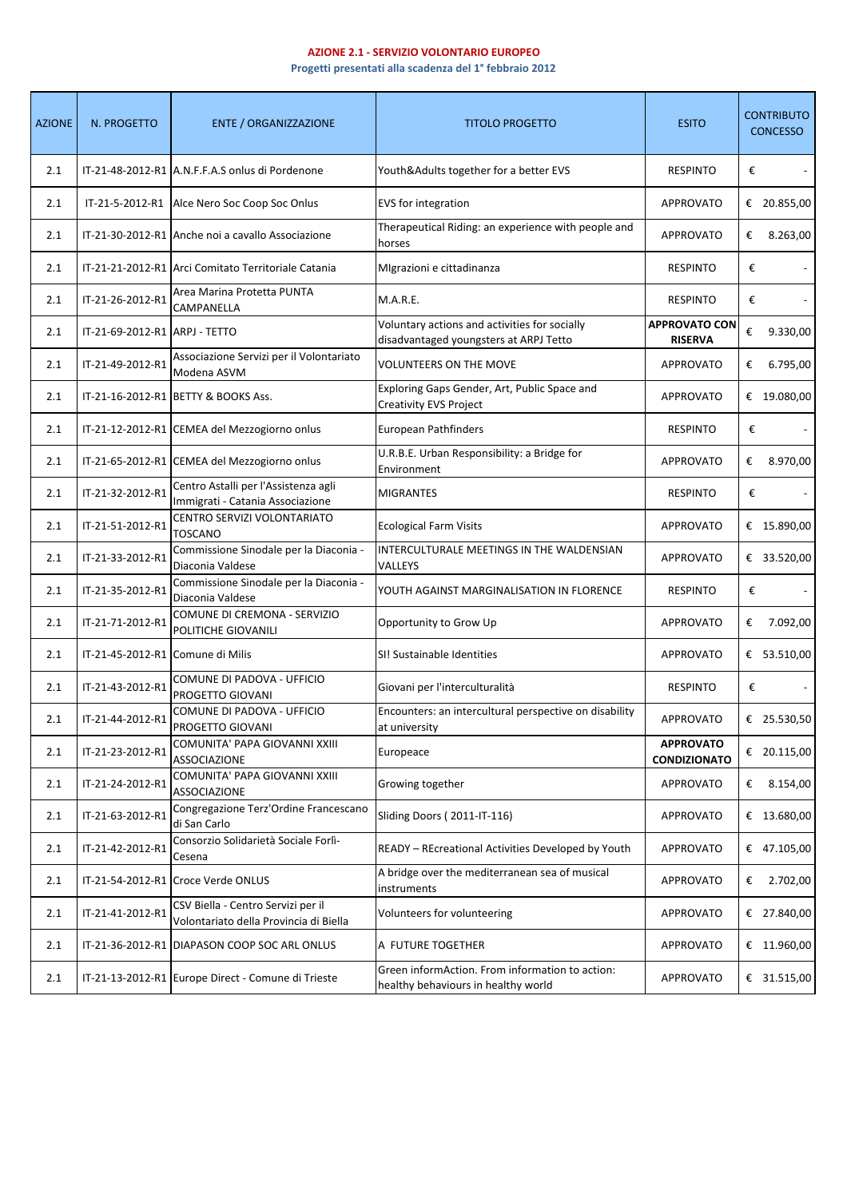## **AZIONE 2.1 - SERVIZIO VOLONTARIO EUROPEO**

**Progetti presentati alla scadenza del 1° febbraio 2012**

| <b>AZIONE</b> | N. PROGETTO                      | <b>ENTE / ORGANIZZAZIONE</b>                                                 | <b>TITOLO PROGETTO</b>                                                                  | <b>ESITO</b>                            |   | <b>CONTRIBUTO</b><br><b>CONCESSO</b> |
|---------------|----------------------------------|------------------------------------------------------------------------------|-----------------------------------------------------------------------------------------|-----------------------------------------|---|--------------------------------------|
| 2.1           |                                  | IT-21-48-2012-R1 A.N.F.F.A.S onlus di Pordenone                              | Youth&Adults together for a better EVS                                                  | <b>RESPINTO</b>                         | € |                                      |
| 2.1           |                                  | IT-21-5-2012-R1 Alce Nero Soc Coop Soc Onlus                                 | EVS for integration                                                                     | <b>APPROVATO</b>                        |   | € 20.855,00                          |
| 2.1           |                                  | IT-21-30-2012-R1 Anche noi a cavallo Associazione                            | Therapeutical Riding: an experience with people and<br>horses                           | <b>APPROVATO</b>                        | € | 8.263,00                             |
| 2.1           |                                  | IT-21-21-2012-R1 Arci Comitato Territoriale Catania                          | MIgrazioni e cittadinanza                                                               | <b>RESPINTO</b>                         | € |                                      |
| 2.1           | IT-21-26-2012-R1                 | Area Marina Protetta PUNTA<br>CAMPANELLA                                     | M.A.R.E.                                                                                | <b>RESPINTO</b>                         | € |                                      |
| 2.1           | IT-21-69-2012-R1 ARPJ - TETTO    |                                                                              | Voluntary actions and activities for socially<br>disadvantaged youngsters at ARPJ Tetto | <b>APPROVATO CON</b><br><b>RISERVA</b>  | € | 9.330,00                             |
| 2.1           | IT-21-49-2012-R1                 | Associazione Servizi per il Volontariato<br>Modena ASVM                      | <b>VOLUNTEERS ON THE MOVE</b>                                                           | <b>APPROVATO</b>                        | € | 6.795,00                             |
| 2.1           |                                  | IT-21-16-2012-R1 BETTY & BOOKS Ass.                                          | Exploring Gaps Gender, Art, Public Space and<br>Creativity EVS Project                  | <b>APPROVATO</b>                        |   | € 19.080,00                          |
| 2.1           |                                  | IT-21-12-2012-R1 CEMEA del Mezzogiorno onlus                                 | European Pathfinders                                                                    | <b>RESPINTO</b>                         | € |                                      |
| 2.1           |                                  | IT-21-65-2012-R1 CEMEA del Mezzogiorno onlus                                 | U.R.B.E. Urban Responsibility: a Bridge for<br>Environment                              | APPROVATO                               | € | 8.970,00                             |
| 2.1           | IT-21-32-2012-R1                 | Centro Astalli per l'Assistenza agli<br>Immigrati - Catania Associazione     | <b>MIGRANTES</b>                                                                        | <b>RESPINTO</b>                         | € |                                      |
| 2.1           | IT-21-51-2012-R1                 | CENTRO SERVIZI VOLONTARIATO<br><b>TOSCANO</b>                                | <b>Ecological Farm Visits</b>                                                           | <b>APPROVATO</b>                        |   | € 15.890,00                          |
| 2.1           | IT-21-33-2012-R1                 | Commissione Sinodale per la Diaconia -<br>Diaconia Valdese                   | INTERCULTURALE MEETINGS IN THE WALDENSIAN<br>VALLEYS                                    | <b>APPROVATO</b>                        |   | € 33.520,00                          |
| 2.1           | IT-21-35-2012-R1                 | Commissione Sinodale per la Diaconia -<br>Diaconia Valdese                   | YOUTH AGAINST MARGINALISATION IN FLORENCE                                               | <b>RESPINTO</b>                         | € |                                      |
| 2.1           | IT-21-71-2012-R1                 | COMUNE DI CREMONA - SERVIZIO<br>POLITICHE GIOVANILI                          | Opportunity to Grow Up                                                                  | <b>APPROVATO</b>                        | € | 7.092,00                             |
| 2.1           | IT-21-45-2012-R1 Comune di Milis |                                                                              | SI! Sustainable Identities                                                              | <b>APPROVATO</b>                        |   | € 53.510,00                          |
| 2.1           | IT-21-43-2012-R1                 | COMUNE DI PADOVA - UFFICIO<br>PROGETTO GIOVANI                               | Giovani per l'interculturalità                                                          | <b>RESPINTO</b>                         | € |                                      |
| 2.1           | IT-21-44-2012-R1                 | COMUNE DI PADOVA - UFFICIO<br>PROGETTO GIOVANI                               | Encounters: an intercultural perspective on disability<br>at university                 | <b>APPROVATO</b>                        |   | € 25.530,50                          |
| 2.1           | IT-21-23-2012-R1                 | COMUNITA' PAPA GIOVANNI XXIII<br><b>ASSOCIAZIONE</b>                         | Europeace                                                                               | <b>APPROVATO</b><br><b>CONDIZIONATO</b> |   | € 20.115,00                          |
| 2.1           | IT-21-24-2012-R1                 | COMUNITA' PAPA GIOVANNI XXIII<br><b>ASSOCIAZIONE</b>                         | Growing together                                                                        | <b>APPROVATO</b>                        | € | 8.154,00                             |
| 2.1           | IT-21-63-2012-R1                 | Congregazione Terz'Ordine Francescano<br>di San Carlo                        | Sliding Doors (2011-IT-116)                                                             | <b>APPROVATO</b>                        |   | € 13.680,00                          |
| 2.1           | IT-21-42-2012-R1                 | Consorzio Solidarietà Sociale Forlì-<br>Cesena                               | READY - REcreational Activities Developed by Youth                                      | <b>APPROVATO</b>                        |   | € 47.105,00                          |
| 2.1           |                                  | IT-21-54-2012-R1 Croce Verde ONLUS                                           | A bridge over the mediterranean sea of musical<br>instruments                           | <b>APPROVATO</b>                        | € | 2.702,00                             |
| 2.1           | IT-21-41-2012-R1                 | CSV Biella - Centro Servizi per il<br>Volontariato della Provincia di Biella | Volunteers for volunteering                                                             | APPROVATO                               |   | € 27.840,00                          |
| 2.1           |                                  | IT-21-36-2012-R1 DIAPASON COOP SOC ARL ONLUS                                 | A FUTURE TOGETHER                                                                       | <b>APPROVATO</b>                        |   | € 11.960,00                          |
| 2.1           |                                  | IT-21-13-2012-R1 Europe Direct - Comune di Trieste                           | Green informAction. From information to action:<br>healthy behaviours in healthy world  | APPROVATO                               |   | € 31.515,00                          |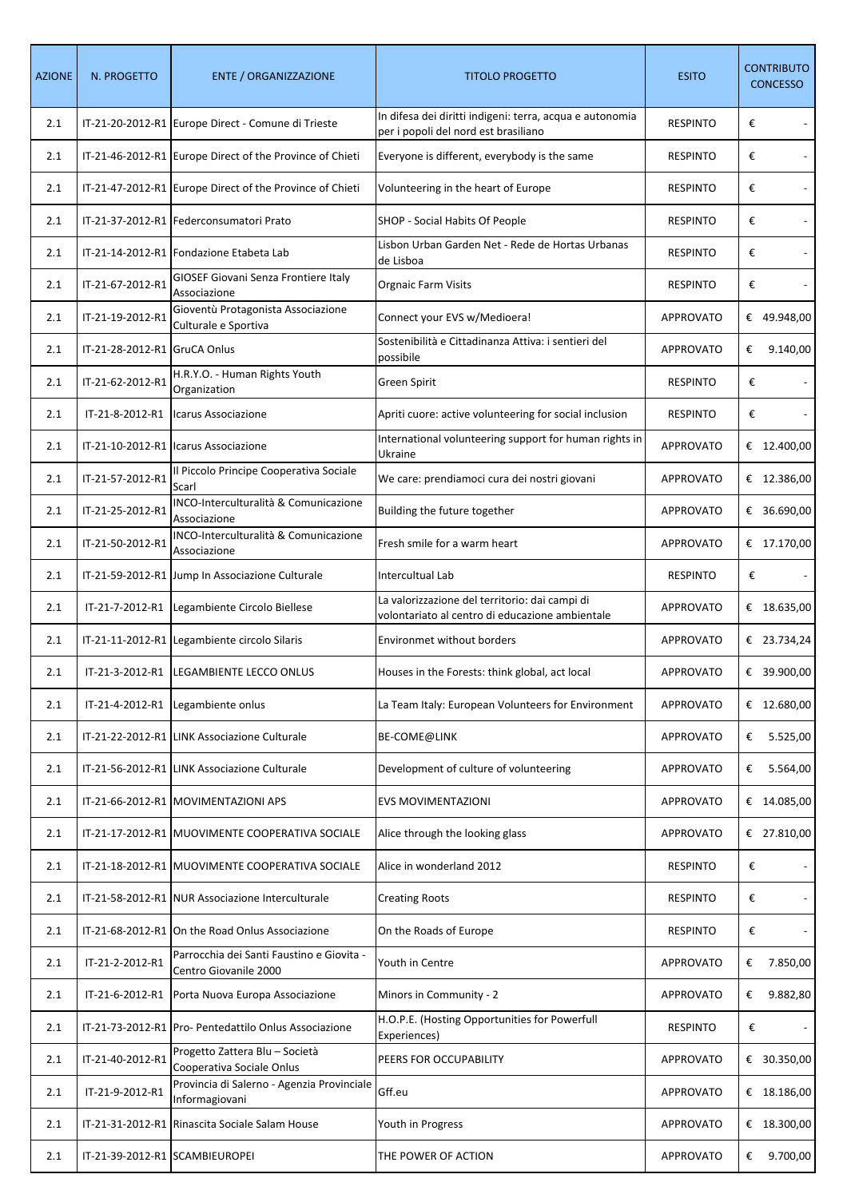| <b>AZIONE</b> | N. PROGETTO                    | <b>ENTE / ORGANIZZAZIONE</b>                                       | <b>TITOLO PROGETTO</b>                                                                            | <b>ESITO</b>     | <b>CONTRIBUTO</b><br><b>CONCESSO</b> |
|---------------|--------------------------------|--------------------------------------------------------------------|---------------------------------------------------------------------------------------------------|------------------|--------------------------------------|
| 2.1           |                                | IT-21-20-2012-R1 Europe Direct - Comune di Trieste                 | In difesa dei diritti indigeni: terra, acqua e autonomia<br>per i popoli del nord est brasiliano  | <b>RESPINTO</b>  | €                                    |
| 2.1           |                                | IT-21-46-2012-R1 Europe Direct of the Province of Chieti           | Everyone is different, everybody is the same                                                      | <b>RESPINTO</b>  | €                                    |
| 2.1           |                                | IT-21-47-2012-R1 Europe Direct of the Province of Chieti           | Volunteering in the heart of Europe                                                               | <b>RESPINTO</b>  | €                                    |
| 2.1           |                                | IT-21-37-2012-R1 Federconsumatori Prato                            | SHOP - Social Habits Of People                                                                    | <b>RESPINTO</b>  | €                                    |
| 2.1           |                                | IT-21-14-2012-R1 Fondazione Etabeta Lab                            | Lisbon Urban Garden Net - Rede de Hortas Urbanas<br>de Lisboa                                     | <b>RESPINTO</b>  | €                                    |
| 2.1           | IT-21-67-2012-R1               | GIOSEF Giovani Senza Frontiere Italy<br>Associazione               | <b>Orgnaic Farm Visits</b>                                                                        | <b>RESPINTO</b>  | €                                    |
| 2.1           | IT-21-19-2012-R1               | Gioventù Protagonista Associazione<br>Culturale e Sportiva         | Connect your EVS w/Medioera!                                                                      | <b>APPROVATO</b> | € 49.948,00                          |
| 2.1           | IT-21-28-2012-R1 GruCA Onlus   |                                                                    | Sostenibilità e Cittadinanza Attiva: i sentieri del<br>possibile                                  | <b>APPROVATO</b> | 9.140,00<br>€                        |
| 2.1           | IT-21-62-2012-R1               | H.R.Y.O. - Human Rights Youth<br>Organization                      | Green Spirit                                                                                      | <b>RESPINTO</b>  | €                                    |
| 2.1           | IT-21-8-2012-R1                | Icarus Associazione                                                | Apriti cuore: active volunteering for social inclusion                                            | <b>RESPINTO</b>  | €                                    |
| 2.1           |                                | IT-21-10-2012-R1 Icarus Associazione                               | International volunteering support for human rights in<br>Ukraine                                 | <b>APPROVATO</b> | € 12.400,00                          |
| 2.1           | IT-21-57-2012-R1               | Il Piccolo Principe Cooperativa Sociale<br>Scarl                   | We care: prendiamoci cura dei nostri giovani                                                      | <b>APPROVATO</b> | € 12.386,00                          |
| 2.1           | IT-21-25-2012-R1               | INCO-Interculturalità & Comunicazione<br>Associazione              | Building the future together                                                                      | <b>APPROVATO</b> | € 36.690,00                          |
| 2.1           | IT-21-50-2012-R1               | INCO-Interculturalità & Comunicazione<br>Associazione              | Fresh smile for a warm heart                                                                      | <b>APPROVATO</b> | € 17.170,00                          |
| 2.1           |                                | IT-21-59-2012-R1 Jump In Associazione Culturale                    | Intercultual Lab                                                                                  | <b>RESPINTO</b>  | €                                    |
| 2.1           |                                | IT-21-7-2012-R1   Legambiente Circolo Biellese                     | La valorizzazione del territorio: dai campi di<br>volontariato al centro di educazione ambientale | <b>APPROVATO</b> | € $18.635,00$                        |
| 2.1           |                                | IT-21-11-2012-R1 Legambiente circolo Silaris                       | Environmet without borders                                                                        | <b>APPROVATO</b> | € 23.734,24                          |
| 2.1           |                                | IT-21-3-2012-R1 LEGAMBIENTE LECCO ONLUS                            | Houses in the Forests: think global, act local                                                    | <b>APPROVATO</b> | € 39.900,00                          |
| 2.1           | IT-21-4-2012-R1                | Legambiente onlus                                                  | La Team Italy: European Volunteers for Environment                                                | <b>APPROVATO</b> | € $12.680,00$                        |
| 2.1           |                                | IT-21-22-2012-R1 LINK Associazione Culturale                       | <b>BE-COME@LINK</b>                                                                               | <b>APPROVATO</b> | 5.525,00<br>€                        |
| 2.1           |                                | IT-21-56-2012-R1 LINK Associazione Culturale                       | Development of culture of volunteering                                                            | <b>APPROVATO</b> | 5.564,00<br>€                        |
| 2.1           |                                | IT-21-66-2012-R1 MOVIMENTAZIONI APS                                | EVS MOVIMENTAZIONI                                                                                | <b>APPROVATO</b> | € 14.085,00                          |
| 2.1           |                                | IT-21-17-2012-R1 MUOVIMENTE COOPERATIVA SOCIALE                    | Alice through the looking glass                                                                   | <b>APPROVATO</b> | € 27.810,00                          |
| 2.1           |                                | IT-21-18-2012-R1 MUOVIMENTE COOPERATIVA SOCIALE                    | Alice in wonderland 2012                                                                          | <b>RESPINTO</b>  | €                                    |
| 2.1           |                                | IT-21-58-2012-R1 NUR Associazione Interculturale                   | <b>Creating Roots</b>                                                                             | <b>RESPINTO</b>  | €                                    |
| 2.1           |                                | IT-21-68-2012-R1 On the Road Onlus Associazione                    | On the Roads of Europe                                                                            | <b>RESPINTO</b>  | €                                    |
| 2.1           | IT-21-2-2012-R1                | Parrocchia dei Santi Faustino e Giovita -<br>Centro Giovanile 2000 | Youth in Centre                                                                                   | <b>APPROVATO</b> | €<br>7.850,00                        |
| 2.1           | IT-21-6-2012-R1                | Porta Nuova Europa Associazione                                    | Minors in Community - 2                                                                           | <b>APPROVATO</b> | 9.882,80<br>€                        |
| 2.1           |                                | IT-21-73-2012-R1 Pro- Pentedattilo Onlus Associazione              | H.O.P.E. (Hosting Opportunities for Powerfull<br>Experiences)                                     | <b>RESPINTO</b>  | €                                    |
| 2.1           | IT-21-40-2012-R1               | Progetto Zattera Blu - Società<br>Cooperativa Sociale Onlus        | PEERS FOR OCCUPABILITY                                                                            | <b>APPROVATO</b> | € 30.350,00                          |
| 2.1           | IT-21-9-2012-R1                | Provincia di Salerno - Agenzia Provinciale<br>Informagiovani       | Gff.eu                                                                                            | <b>APPROVATO</b> | € $18.186,00$                        |
| 2.1           |                                | IT-21-31-2012-R1 Rinascita Sociale Salam House                     | Youth in Progress                                                                                 | <b>APPROVATO</b> | € 18.300,00                          |
| 2.1           | IT-21-39-2012-R1 SCAMBIEUROPEI |                                                                    | THE POWER OF ACTION                                                                               | <b>APPROVATO</b> | 9.700,00<br>€                        |